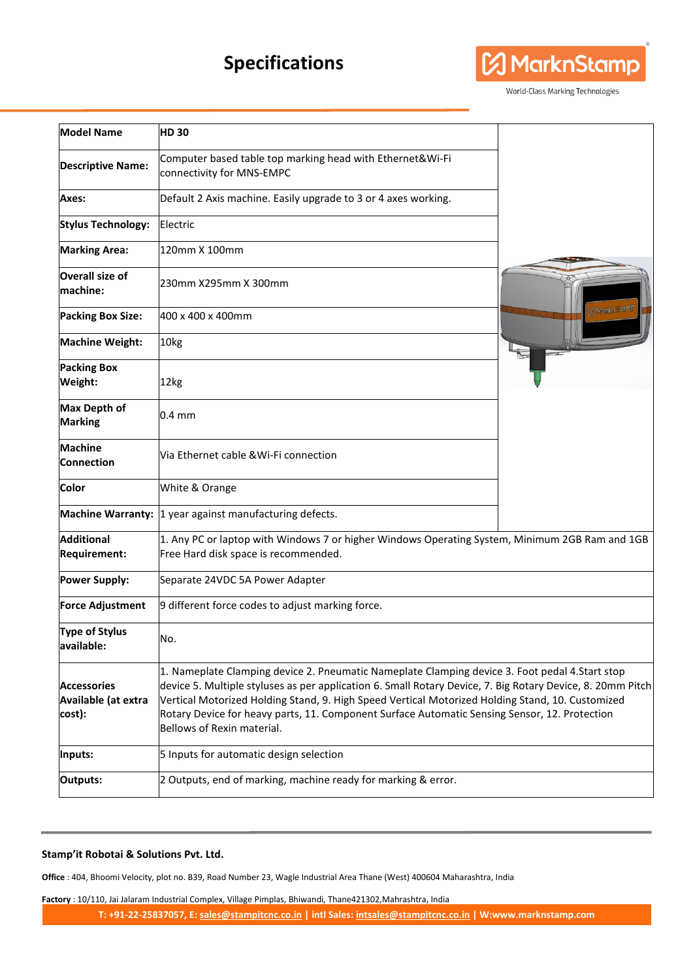## **Specifications**



World-Class Marking Technologies

| <b>Model Name</b>                                   | <b>HD30</b>                                                                                                                                                                                                                                                                                                                                                                                                                                      |               |
|-----------------------------------------------------|--------------------------------------------------------------------------------------------------------------------------------------------------------------------------------------------------------------------------------------------------------------------------------------------------------------------------------------------------------------------------------------------------------------------------------------------------|---------------|
| <b>Descriptive Name:</b>                            | Computer based table top marking head with Ethernet&Wi-Fi<br>connectivity for MNS-EMPC                                                                                                                                                                                                                                                                                                                                                           |               |
| Axes:                                               | Default 2 Axis machine. Easily upgrade to 3 or 4 axes working.                                                                                                                                                                                                                                                                                                                                                                                   |               |
| <b>Stylus Technology:</b>                           | Electric                                                                                                                                                                                                                                                                                                                                                                                                                                         |               |
| <b>Marking Area:</b>                                | 120mm X 100mm                                                                                                                                                                                                                                                                                                                                                                                                                                    |               |
| <b>Overall size of</b><br>machine:                  | 230mm X295mm X 300mm                                                                                                                                                                                                                                                                                                                                                                                                                             |               |
| <b>Packing Box Size:</b>                            | l400 x 400 x 400mm                                                                                                                                                                                                                                                                                                                                                                                                                               | A Markn Stamp |
| <b>Machine Weight:</b>                              | 10kg                                                                                                                                                                                                                                                                                                                                                                                                                                             |               |
| <b>Packing Box</b><br>Weight:                       | 12kg                                                                                                                                                                                                                                                                                                                                                                                                                                             |               |
| <b>Max Depth of</b><br><b>Marking</b>               | $0.4 \text{ mm}$                                                                                                                                                                                                                                                                                                                                                                                                                                 |               |
| <b>Machine</b><br><b>Connection</b>                 | Via Ethernet cable & Wi-Fi connection                                                                                                                                                                                                                                                                                                                                                                                                            |               |
| Color                                               | White & Orange                                                                                                                                                                                                                                                                                                                                                                                                                                   |               |
| <b>Machine Warranty:</b>                            | 1 year against manufacturing defects.                                                                                                                                                                                                                                                                                                                                                                                                            |               |
| <b>Additional</b><br><b>Requirement:</b>            | 1. Any PC or laptop with Windows 7 or higher Windows Operating System, Minimum 2GB Ram and 1GB<br>Free Hard disk space is recommended.                                                                                                                                                                                                                                                                                                           |               |
| <b>Power Supply:</b>                                | Separate 24VDC 5A Power Adapter                                                                                                                                                                                                                                                                                                                                                                                                                  |               |
| <b>Force Adjustment</b>                             | 9 different force codes to adjust marking force.                                                                                                                                                                                                                                                                                                                                                                                                 |               |
| <b>Type of Stylus</b><br>available:                 | No.                                                                                                                                                                                                                                                                                                                                                                                                                                              |               |
| <b>Accessories</b><br>Available (at extra<br>cost): | 1. Nameplate Clamping device 2. Pneumatic Nameplate Clamping device 3. Foot pedal 4. Start stop<br>device 5. Multiple styluses as per application 6. Small Rotary Device, 7. Big Rotary Device, 8. 20mm Pitch<br>Vertical Motorized Holding Stand, 9. High Speed Vertical Motorized Holding Stand, 10. Customized<br>Rotary Device for heavy parts, 11. Component Surface Automatic Sensing Sensor, 12. Protection<br>Bellows of Rexin material. |               |
| Inputs:                                             | 5 Inputs for automatic design selection                                                                                                                                                                                                                                                                                                                                                                                                          |               |
| Outputs:                                            | 2 Outputs, end of marking, machine ready for marking & error.                                                                                                                                                                                                                                                                                                                                                                                    |               |

## **Stamp'it Robotai & Solutions Pvt. Ltd.**

**Office** : 404, Bhoomi Velocity, plot no. B39, Road Number 23, Wagle Industrial Area Thane (West) 400604 Maharashtra, India

**Factory** : 10/110, Jai Jalaram Industrial Complex, Village Pimplas, Bhiwandi, Thane421302,Mahrashtra, India

**T: +91-22-25837057, E[: sales@stampitcnc.co.in](mailto:sales@stampitcnc.co.in) | intl Sales: [intsales@stampitcnc.co.in](mailto:intsales@stampitcnc.co.in) | W:www.marknstamp.com**